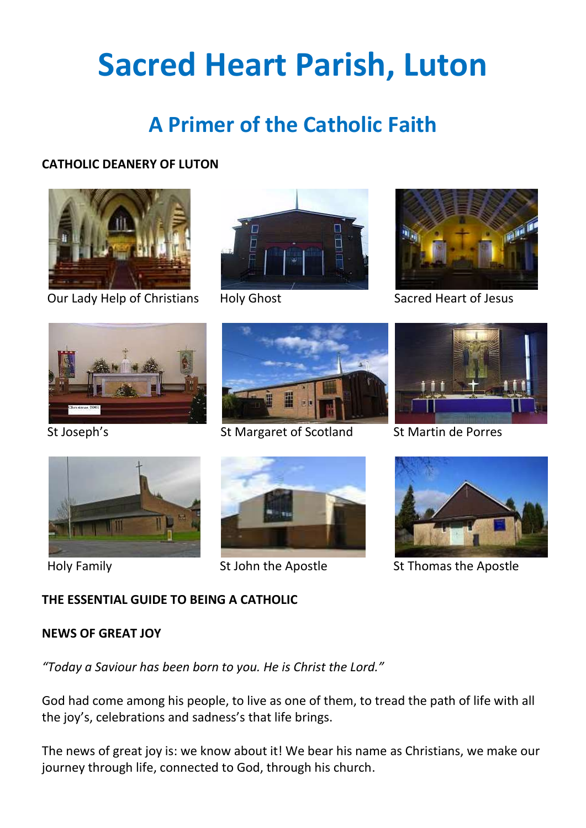# **Sacred Heart Parish, Luton**

# **A Primer of the Catholic Faith**

# **CATHOLIC DEANERY OF LUTON**



Our Lady Help of Christians Holy Ghost Sacred Heart of Jesus









St Joseph's St Margaret of Scotland St Martin de Porres









Holy Family St John the Apostle St Thomas the Apostle

# **THE ESSENTIAL GUIDE TO BEING A CATHOLIC**

# **NEWS OF GREAT JOY**

*"Today a Saviour has been born to you. He is Christ the Lord."*

God had come among his people, to live as one of them, to tread the path of life with all the joy's, celebrations and sadness's that life brings.

The news of great joy is: we know about it! We bear his name as Christians, we make our journey through life, connected to God, through his church.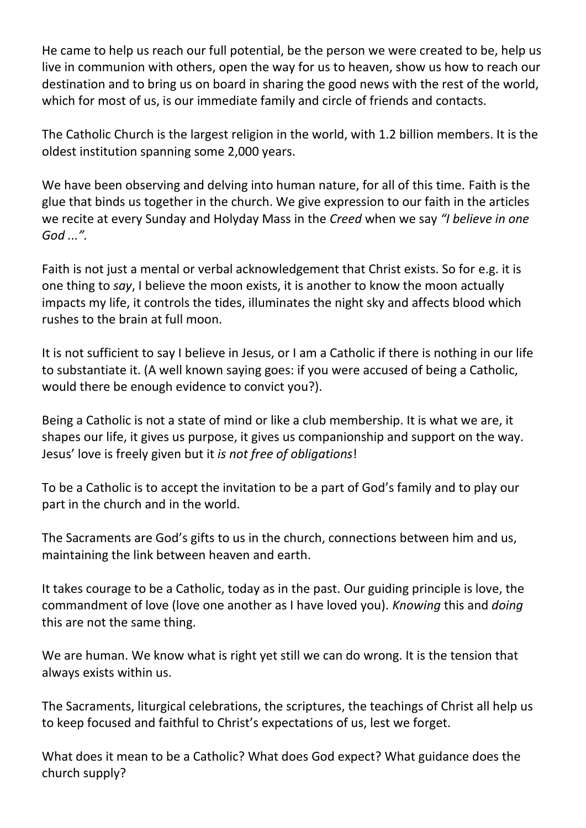He came to help us reach our full potential, be the person we were created to be, help us live in communion with others, open the way for us to heaven, show us how to reach our destination and to bring us on board in sharing the good news with the rest of the world, which for most of us, is our immediate family and circle of friends and contacts.

The Catholic Church is the largest religion in the world, with 1.2 billion members. It is the oldest institution spanning some 2,000 years.

We have been observing and delving into human nature, for all of this time. Faith is the glue that binds us together in the church. We give expression to our faith in the articles we recite at every Sunday and Holyday Mass in the *Creed* when we say *"I believe in one God ...".*

Faith is not just a mental or verbal acknowledgement that Christ exists. So for e.g. it is one thing to *say*, I believe the moon exists, it is another to know the moon actually impacts my life, it controls the tides, illuminates the night sky and affects blood which rushes to the brain at full moon.

It is not sufficient to say I believe in Jesus, or I am a Catholic if there is nothing in our life to substantiate it. (A well known saying goes: if you were accused of being a Catholic, would there be enough evidence to convict you?).

Being a Catholic is not a state of mind or like a club membership. It is what we are, it shapes our life, it gives us purpose, it gives us companionship and support on the way. Jesus' love is freely given but it *is not free of obligations*!

To be a Catholic is to accept the invitation to be a part of God's family and to play our part in the church and in the world.

The Sacraments are God's gifts to us in the church, connections between him and us, maintaining the link between heaven and earth.

It takes courage to be a Catholic, today as in the past. Our guiding principle is love, the commandment of love (love one another as I have loved you). *Knowing* this and *doing* this are not the same thing.

We are human. We know what is right yet still we can do wrong. It is the tension that always exists within us.

The Sacraments, liturgical celebrations, the scriptures, the teachings of Christ all help us to keep focused and faithful to Christ's expectations of us, lest we forget.

What does it mean to be a Catholic? What does God expect? What guidance does the church supply?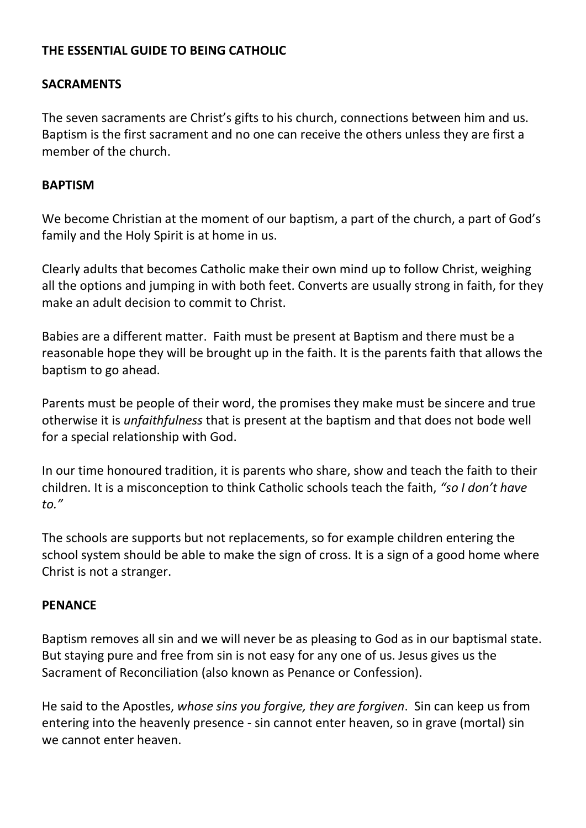# **THE ESSENTIAL GUIDE TO BEING CATHOLIC**

# **SACRAMENTS**

The seven sacraments are Christ's gifts to his church, connections between him and us. Baptism is the first sacrament and no one can receive the others unless they are first a member of the church.

#### **BAPTISM**

We become Christian at the moment of our baptism, a part of the church, a part of God's family and the Holy Spirit is at home in us.

Clearly adults that becomes Catholic make their own mind up to follow Christ, weighing all the options and jumping in with both feet. Converts are usually strong in faith, for they make an adult decision to commit to Christ.

Babies are a different matter. Faith must be present at Baptism and there must be a reasonable hope they will be brought up in the faith. It is the parents faith that allows the baptism to go ahead.

Parents must be people of their word, the promises they make must be sincere and true otherwise it is *unfaithfulness* that is present at the baptism and that does not bode well for a special relationship with God.

In our time honoured tradition, it is parents who share, show and teach the faith to their children. It is a misconception to think Catholic schools teach the faith, *"so I don't have to."*

The schools are supports but not replacements, so for example children entering the school system should be able to make the sign of cross. It is a sign of a good home where Christ is not a stranger.

#### **PENANCE**

Baptism removes all sin and we will never be as pleasing to God as in our baptismal state. But staying pure and free from sin is not easy for any one of us. Jesus gives us the Sacrament of Reconciliation (also known as Penance or Confession).

He said to the Apostles, *whose sins you forgive, they are forgiven*. Sin can keep us from entering into the heavenly presence - sin cannot enter heaven, so in grave (mortal) sin we cannot enter heaven.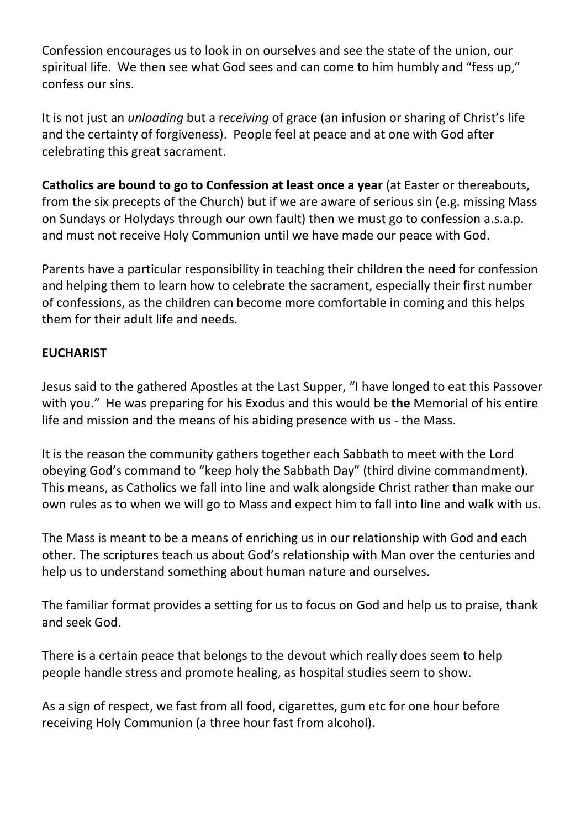Confession encourages us to look in on ourselves and see the state of the union, our spiritual life. We then see what God sees and can come to him humbly and "fess up," confess our sins.

It is not just an *unloading* but a r*eceiving* of grace (an infusion or sharing of Christ's life and the certainty of forgiveness). People feel at peace and at one with God after celebrating this great sacrament.

**Catholics are bound to go to Confession at least once a year** (at Easter or thereabouts, from the six precepts of the Church) but if we are aware of serious sin (e.g. missing Mass on Sundays or Holydays through our own fault) then we must go to confession a.s.a.p. and must not receive Holy Communion until we have made our peace with God.

Parents have a particular responsibility in teaching their children the need for confession and helping them to learn how to celebrate the sacrament, especially their first number of confessions, as the children can become more comfortable in coming and this helps them for their adult life and needs.

# **EUCHARIST**

Jesus said to the gathered Apostles at the Last Supper, "I have longed to eat this Passover with you." He was preparing for his Exodus and this would be **the** Memorial of his entire life and mission and the means of his abiding presence with us - the Mass.

It is the reason the community gathers together each Sabbath to meet with the Lord obeying God's command to "keep holy the Sabbath Day" (third divine commandment). This means, as Catholics we fall into line and walk alongside Christ rather than make our own rules as to when we will go to Mass and expect him to fall into line and walk with us.

The Mass is meant to be a means of enriching us in our relationship with God and each other. The scriptures teach us about God's relationship with Man over the centuries and help us to understand something about human nature and ourselves.

The familiar format provides a setting for us to focus on God and help us to praise, thank and seek God.

There is a certain peace that belongs to the devout which really does seem to help people handle stress and promote healing, as hospital studies seem to show.

As a sign of respect, we fast from all food, cigarettes, gum etc for one hour before receiving Holy Communion (a three hour fast from alcohol).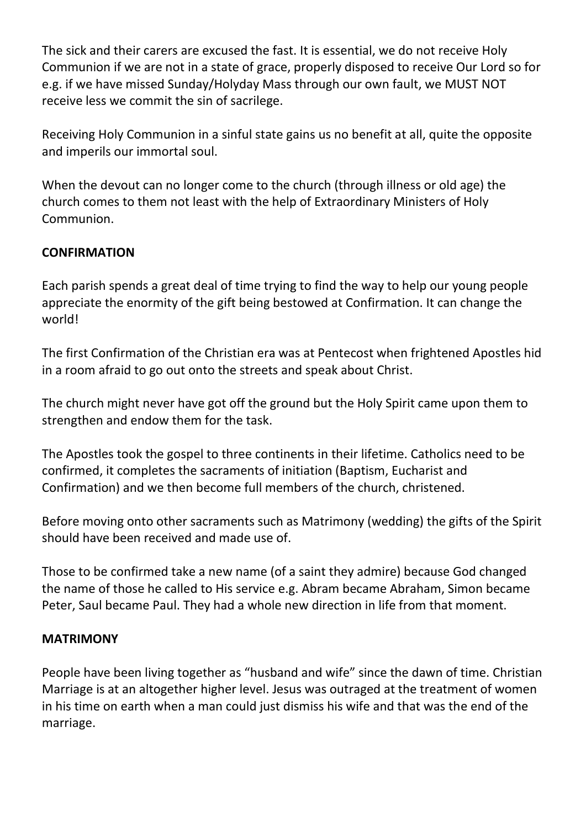The sick and their carers are excused the fast. It is essential, we do not receive Holy Communion if we are not in a state of grace, properly disposed to receive Our Lord so for e.g. if we have missed Sunday/Holyday Mass through our own fault, we MUST NOT receive less we commit the sin of sacrilege.

Receiving Holy Communion in a sinful state gains us no benefit at all, quite the opposite and imperils our immortal soul.

When the devout can no longer come to the church (through illness or old age) the church comes to them not least with the help of Extraordinary Ministers of Holy Communion.

# **CONFIRMATION**

Each parish spends a great deal of time trying to find the way to help our young people appreciate the enormity of the gift being bestowed at Confirmation. It can change the world!

The first Confirmation of the Christian era was at Pentecost when frightened Apostles hid in a room afraid to go out onto the streets and speak about Christ.

The church might never have got off the ground but the Holy Spirit came upon them to strengthen and endow them for the task.

The Apostles took the gospel to three continents in their lifetime. Catholics need to be confirmed, it completes the sacraments of initiation (Baptism, Eucharist and Confirmation) and we then become full members of the church, christened.

Before moving onto other sacraments such as Matrimony (wedding) the gifts of the Spirit should have been received and made use of.

Those to be confirmed take a new name (of a saint they admire) because God changed the name of those he called to His service e.g. Abram became Abraham, Simon became Peter, Saul became Paul. They had a whole new direction in life from that moment.

# **MATRIMONY**

People have been living together as "husband and wife" since the dawn of time. Christian Marriage is at an altogether higher level. Jesus was outraged at the treatment of women in his time on earth when a man could just dismiss his wife and that was the end of the marriage.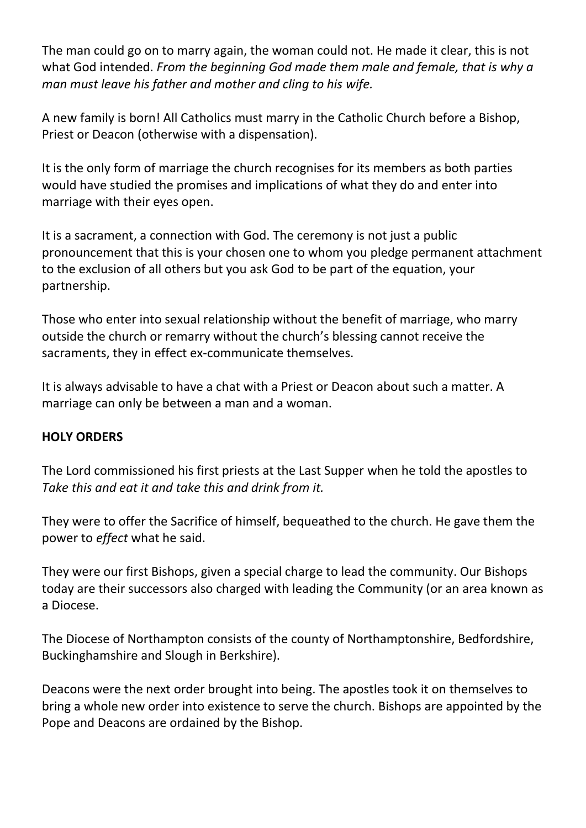The man could go on to marry again, the woman could not. He made it clear, this is not what God intended. *From the beginning God made them male and female, that is why a man must leave his father and mother and cling to his wife.*

A new family is born! All Catholics must marry in the Catholic Church before a Bishop, Priest or Deacon (otherwise with a dispensation).

It is the only form of marriage the church recognises for its members as both parties would have studied the promises and implications of what they do and enter into marriage with their eyes open.

It is a sacrament, a connection with God. The ceremony is not just a public pronouncement that this is your chosen one to whom you pledge permanent attachment to the exclusion of all others but you ask God to be part of the equation, your partnership.

Those who enter into sexual relationship without the benefit of marriage, who marry outside the church or remarry without the church's blessing cannot receive the sacraments, they in effect ex-communicate themselves.

It is always advisable to have a chat with a Priest or Deacon about such a matter. A marriage can only be between a man and a woman.

# **HOLY ORDERS**

The Lord commissioned his first priests at the Last Supper when he told the apostles to *Take this and eat it and take this and drink from it.* 

They were to offer the Sacrifice of himself, bequeathed to the church. He gave them the power to *effect* what he said.

They were our first Bishops, given a special charge to lead the community. Our Bishops today are their successors also charged with leading the Community (or an area known as a Diocese.

The Diocese of Northampton consists of the county of Northamptonshire, Bedfordshire, Buckinghamshire and Slough in Berkshire).

Deacons were the next order brought into being. The apostles took it on themselves to bring a whole new order into existence to serve the church. Bishops are appointed by the Pope and Deacons are ordained by the Bishop.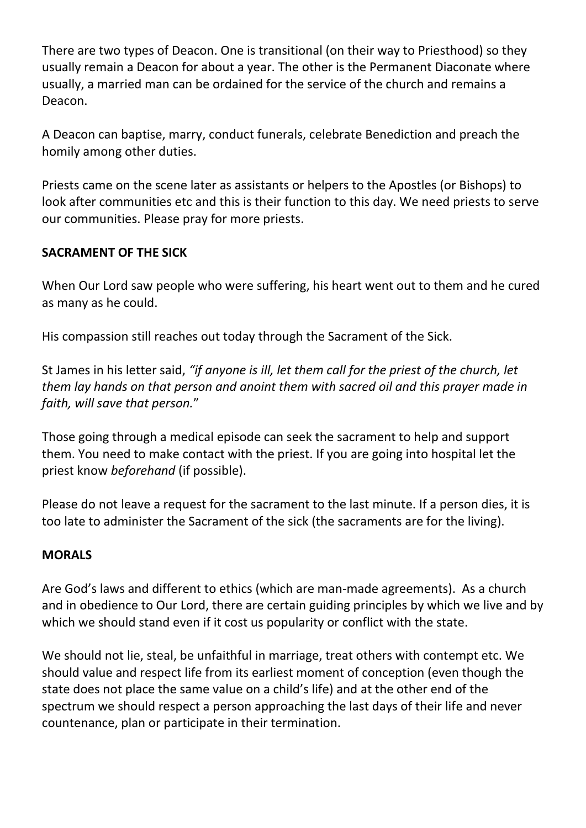There are two types of Deacon. One is transitional (on their way to Priesthood) so they usually remain a Deacon for about a year. The other is the Permanent Diaconate where usually, a married man can be ordained for the service of the church and remains a Deacon.

A Deacon can baptise, marry, conduct funerals, celebrate Benediction and preach the homily among other duties.

Priests came on the scene later as assistants or helpers to the Apostles (or Bishops) to look after communities etc and this is their function to this day. We need priests to serve our communities. Please pray for more priests.

# **SACRAMENT OF THE SICK**

When Our Lord saw people who were suffering, his heart went out to them and he cured as many as he could.

His compassion still reaches out today through the Sacrament of the Sick.

St James in his letter said, *"if anyone is ill, let them call for the priest of the church, let them lay hands on that person and anoint them with sacred oil and this prayer made in faith, will save that person.*"

Those going through a medical episode can seek the sacrament to help and support them. You need to make contact with the priest. If you are going into hospital let the priest know *beforehand* (if possible).

Please do not leave a request for the sacrament to the last minute. If a person dies, it is too late to administer the Sacrament of the sick (the sacraments are for the living).

# **MORALS**

Are God's laws and different to ethics (which are man-made agreements). As a church and in obedience to Our Lord, there are certain guiding principles by which we live and by which we should stand even if it cost us popularity or conflict with the state.

We should not lie, steal, be unfaithful in marriage, treat others with contempt etc. We should value and respect life from its earliest moment of conception (even though the state does not place the same value on a child's life) and at the other end of the spectrum we should respect a person approaching the last days of their life and never countenance, plan or participate in their termination.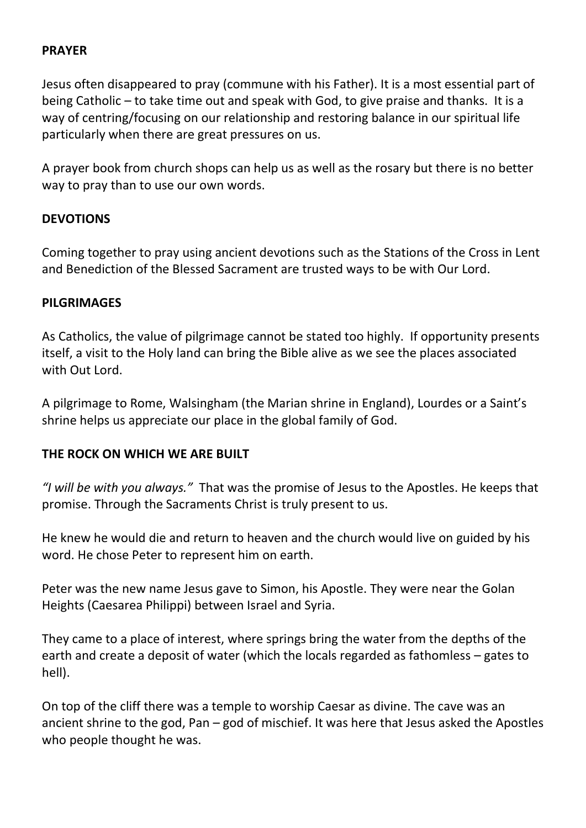# **PRAYER**

Jesus often disappeared to pray (commune with his Father). It is a most essential part of being Catholic – to take time out and speak with God, to give praise and thanks. It is a way of centring/focusing on our relationship and restoring balance in our spiritual life particularly when there are great pressures on us.

A prayer book from church shops can help us as well as the rosary but there is no better way to pray than to use our own words.

# **DEVOTIONS**

Coming together to pray using ancient devotions such as the Stations of the Cross in Lent and Benediction of the Blessed Sacrament are trusted ways to be with Our Lord.

#### **PILGRIMAGES**

As Catholics, the value of pilgrimage cannot be stated too highly. If opportunity presents itself, a visit to the Holy land can bring the Bible alive as we see the places associated with Out Lord.

A pilgrimage to Rome, Walsingham (the Marian shrine in England), Lourdes or a Saint's shrine helps us appreciate our place in the global family of God.

# **THE ROCK ON WHICH WE ARE BUILT**

*"I will be with you always."* That was the promise of Jesus to the Apostles. He keeps that promise. Through the Sacraments Christ is truly present to us.

He knew he would die and return to heaven and the church would live on guided by his word. He chose Peter to represent him on earth.

Peter was the new name Jesus gave to Simon, his Apostle. They were near the Golan Heights (Caesarea Philippi) between Israel and Syria.

They came to a place of interest, where springs bring the water from the depths of the earth and create a deposit of water (which the locals regarded as fathomless – gates to hell).

On top of the cliff there was a temple to worship Caesar as divine. The cave was an ancient shrine to the god, Pan – god of mischief. It was here that Jesus asked the Apostles who people thought he was.